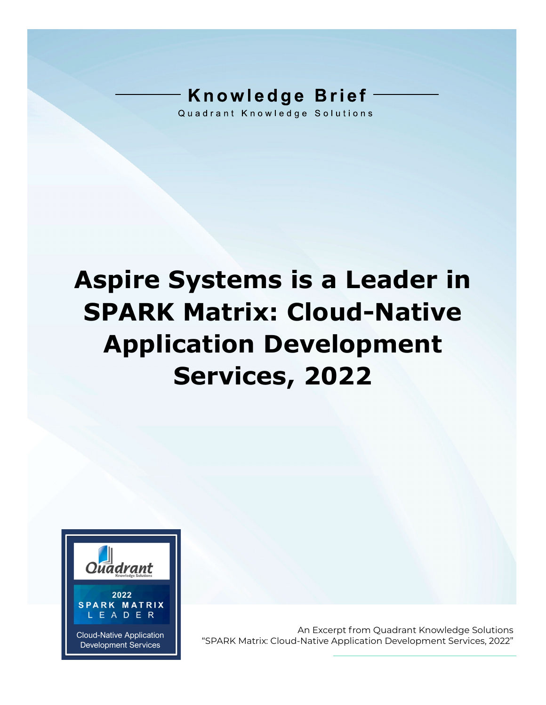## **Knowledge Brief**

Quadrant Knowledge Solutions

# **Aspire Systems is a Leader in SPARK Matrix: Cloud-Native Application Development Services, 2022**



An Excerpt from Quadrant Knowledge Solutions Cloud-Native Application **Cloud-Native Application** "SPARK Matrix: Cloud-Native Application Development Services, 2022"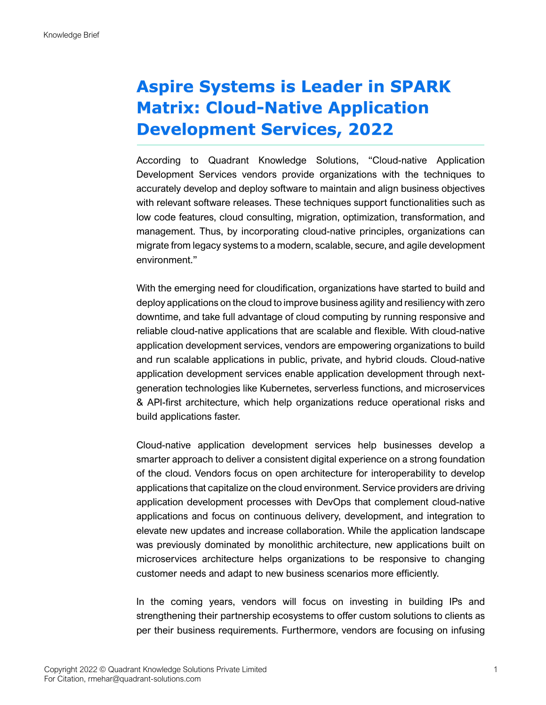#### **Aspire Systems is Leader in SPARK Matrix: Cloud-Native Application Development Services, 2022**

According to Quadrant Knowledge Solutions, "Cloud-native Application Development Services vendors provide organizations with the techniques to accurately develop and deploy software to maintain and align business objectives with relevant software releases. These techniques support functionalities such as low code features, cloud consulting, migration, optimization, transformation, and management. Thus, by incorporating cloud-native principles, organizations can migrate from legacy systems to a modern, scalable, secure, and agile development environment."

With the emerging need for cloudification, organizations have started to build and deploy applications on the cloud to improve business agility and resiliency with zero downtime, and take full advantage of cloud computing by running responsive and reliable cloud-native applications that are scalable and flexible. With cloud-native application development services, vendors are empowering organizations to build and run scalable applications in public, private, and hybrid clouds. Cloud-native application development services enable application development through nextgeneration technologies like Kubernetes, serverless functions, and microservices & API-first architecture, which help organizations reduce operational risks and build applications faster.

Cloud-native application development services help businesses develop a smarter approach to deliver a consistent digital experience on a strong foundation of the cloud. Vendors focus on open architecture for interoperability to develop applications that capitalize on the cloud environment. Service providers are driving application development processes with DevOps that complement cloud-native applications and focus on continuous delivery, development, and integration to elevate new updates and increase collaboration. While the application landscape was previously dominated by monolithic architecture, new applications built on microservices architecture helps organizations to be responsive to changing customer needs and adapt to new business scenarios more efficiently.

In the coming years, vendors will focus on investing in building IPs and strengthening their partnership ecosystems to offer custom solutions to clients as per their business requirements. Furthermore, vendors are focusing on infusing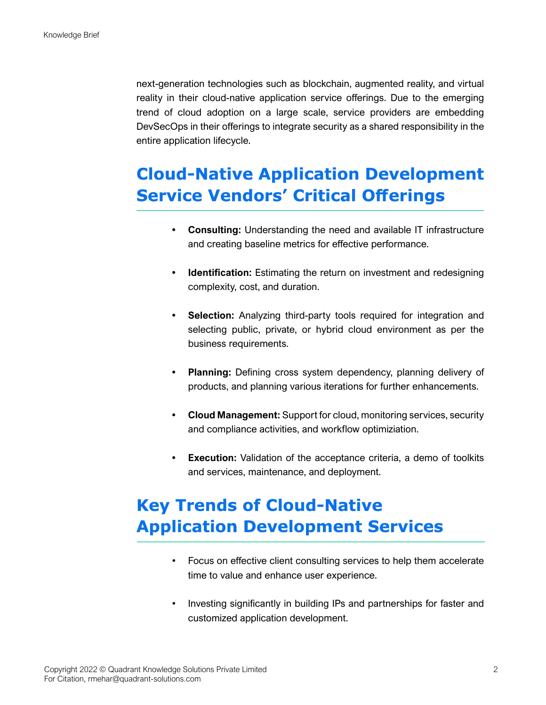next-generation technologies such as blockchain, augmented reality, and virtual reality in their cloud-native application service offerings. Due to the emerging trend of cloud adoption on a large scale, service providers are embedding DevSecOps in their offerings to integrate security as a shared responsibility in the entire application lifecycle.

#### **Cloud-Native Application Development Service Vendors' Critical Offerings**

- **• Consulting:** Understanding the need and available IT infrastructure and creating baseline metrics for effective performance.
- **• Identification:** Estimating the return on investment and redesigning complexity, cost, and duration.
- **Selection:** Analyzing third-party tools required for integration and selecting public, private, or hybrid cloud environment as per the business requirements.
- **• Planning:** Defining cross system dependency, planning delivery of products, and planning various iterations for further enhancements.
- **• Cloud Management:** Support for cloud, monitoring services, security and compliance activities, and workflow optimiziation.
- **• Execution:** Validation of the acceptance criteria, a demo of toolkits and services, maintenance, and deployment.

### **Key Trends of Cloud-Native Application Development Services**

- Focus on effective client consulting services to help them accelerate time to value and enhance user experience.
- Investing significantly in building IPs and partnerships for faster and customized application development.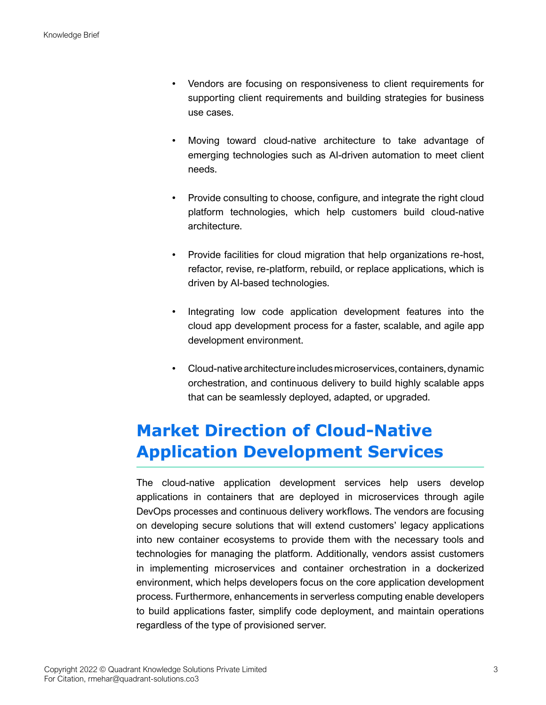- Vendors are focusing on responsiveness to client requirements for supporting client requirements and building strategies for business use cases.
- Moving toward cloud-native architecture to take advantage of emerging technologies such as AI-driven automation to meet client needs.
- Provide consulting to choose, configure, and integrate the right cloud platform technologies, which help customers build cloud-native architecture.
- Provide facilities for cloud migration that help organizations re-host, refactor, revise, re-platform, rebuild, or replace applications, which is driven by AI-based technologies.
- Integrating low code application development features into the cloud app development process for a faster, scalable, and agile app development environment.
- Cloud-native architecture includes microservices, containers, dynamic orchestration, and continuous delivery to build highly scalable apps that can be seamlessly deployed, adapted, or upgraded.

#### **Market Direction of Cloud-Native Application Development Services**

The cloud-native application development services help users develop applications in containers that are deployed in microservices through agile DevOps processes and continuous delivery workflows. The vendors are focusing on developing secure solutions that will extend customers' legacy applications into new container ecosystems to provide them with the necessary tools and technologies for managing the platform. Additionally, vendors assist customers in implementing microservices and container orchestration in a dockerized environment, which helps developers focus on the core application development process. Furthermore, enhancements in serverless computing enable developers to build applications faster, simplify code deployment, and maintain operations regardless of the type of provisioned server.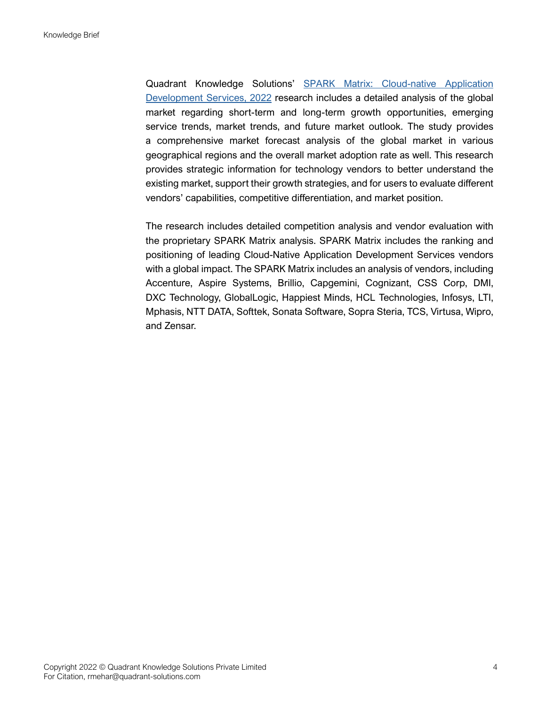Quadrant Knowledge Solutions' [SPARK Matrix: Cloud-native Application](https://quadrant-solutions.com/market-research/spark-matrix-cloud-native-application-development-services-2022/)  [Development Services, 2022](https://quadrant-solutions.com/market-research/spark-matrix-cloud-native-application-development-services-2022/) research includes a detailed analysis of the global market regarding short-term and long-term growth opportunities, emerging service trends, market trends, and future market outlook. The study provides a comprehensive market forecast analysis of the global market in various geographical regions and the overall market adoption rate as well. This research provides strategic information for technology vendors to better understand the existing market, support their growth strategies, and for users to evaluate different vendors' capabilities, competitive differentiation, and market position.

The research includes detailed competition analysis and vendor evaluation with the proprietary SPARK Matrix analysis. SPARK Matrix includes the ranking and positioning of leading Cloud-Native Application Development Services vendors with a global impact. The SPARK Matrix includes an analysis of vendors, including Accenture, Aspire Systems, Brillio, Capgemini, Cognizant, CSS Corp, DMI, DXC Technology, GlobalLogic, Happiest Minds, HCL Technologies, Infosys, LTI, Mphasis, NTT DATA, Softtek, Sonata Software, Sopra Steria, TCS, Virtusa, Wipro, and Zensar.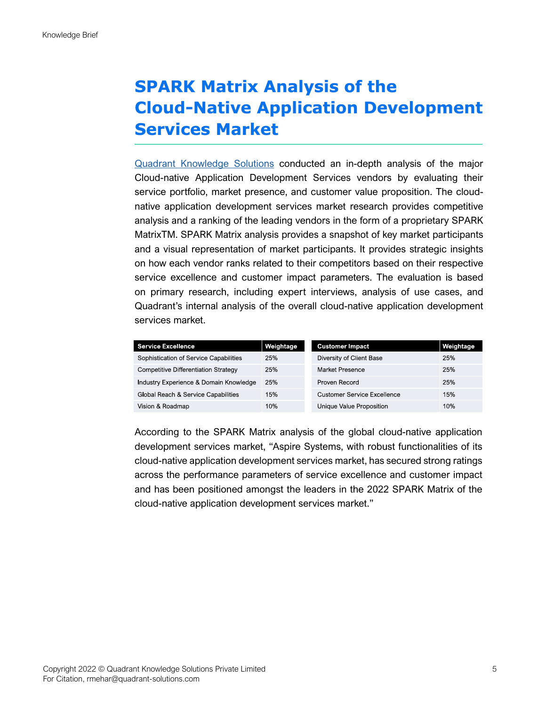#### **SPARK Matrix Analysis of the Cloud-Native Application Development Services Market**

[Quadrant Knowledge Solutions](https://quadrant-solutions.com/) conducted an in-depth analysis of the major Cloud-native Application Development Services vendors by evaluating their service portfolio, market presence, and customer value proposition. The cloudnative application development services market research provides competitive analysis and a ranking of the leading vendors in the form of a proprietary SPARK MatrixTM. SPARK Matrix analysis provides a snapshot of key market participants and a visual representation of market participants. It provides strategic insights on how each vendor ranks related to their competitors based on their respective service excellence and customer impact parameters. The evaluation is based on primary research, including expert interviews, analysis of use cases, and Quadrant's internal analysis of the overall cloud-native application development services market.

| <b>Service Excellence</b>              | Weightage | <b>Customer Impact</b>             | Weightage |
|----------------------------------------|-----------|------------------------------------|-----------|
| Sophistication of Service Capabilities | 25%       | Diversity of Client Base           | 25%       |
| Competitive Differentiation Strategy   | 25%       | Market Presence                    | 25%       |
| Industry Experience & Domain Knowledge | 25%       | Proven Record                      | 25%       |
| Global Reach & Service Capabilities    | 15%       | <b>Customer Service Excellence</b> | 15%       |
| Vision & Roadmap                       | 10%       | Unique Value Proposition           | 10%       |

According to the SPARK Matrix analysis of the global cloud-native application development services market, "Aspire Systems, with robust functionalities of its cloud-native application development services market, has secured strong ratings across the performance parameters of service excellence and customer impact and has been positioned amongst the leaders in the 2022 SPARK Matrix of the cloud-native application development services market."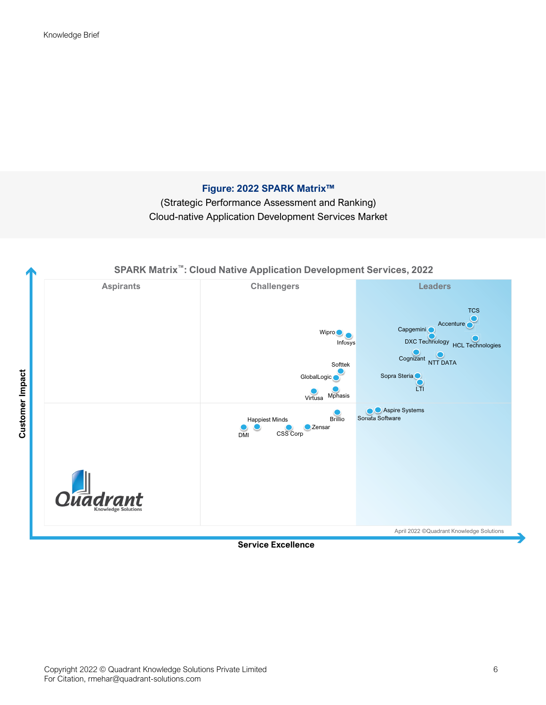#### **Figure: 2022 SPARK Matrix™**

(Strategic Performance Assessment and Ranking) Cloud-native Application Development Services Market



**Service Excellence**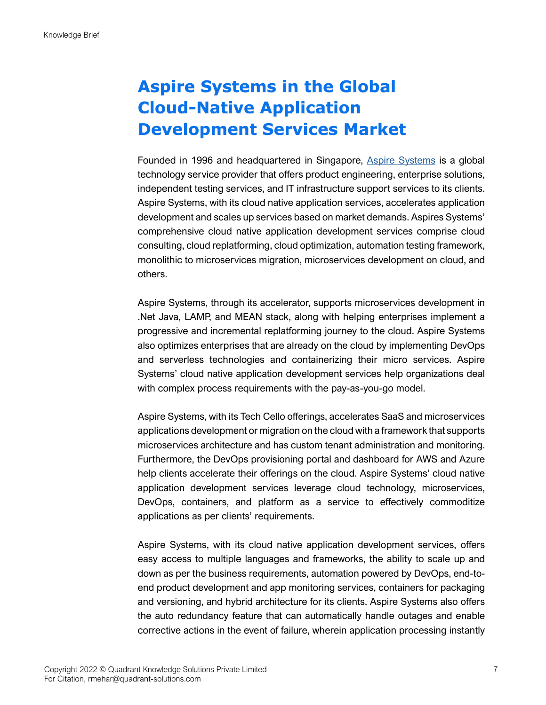### **Aspire Systems in the Global Cloud-Native Application Development Services Market**

Founded in 1996 and headquartered in Singapore, [Aspire Systems](https://www.aspiresys.com/) is a global technology service provider that offers product engineering, enterprise solutions, independent testing services, and IT infrastructure support services to its clients. Aspire Systems, with its cloud native application services, accelerates application development and scales up services based on market demands. Aspires Systems' comprehensive cloud native application development services comprise cloud consulting, cloud replatforming, cloud optimization, automation testing framework, monolithic to microservices migration, microservices development on cloud, and others.

Aspire Systems, through its accelerator, supports microservices development in .Net Java, LAMP, and MEAN stack, along with helping enterprises implement a progressive and incremental replatforming journey to the cloud. Aspire Systems also optimizes enterprises that are already on the cloud by implementing DevOps and serverless technologies and containerizing their micro services. Aspire Systems' cloud native application development services help organizations deal with complex process requirements with the pay-as-you-go model.

Aspire Systems, with its Tech Cello offerings, accelerates SaaS and microservices applications development or migration on the cloud with a framework that supports microservices architecture and has custom tenant administration and monitoring. Furthermore, the DevOps provisioning portal and dashboard for AWS and Azure help clients accelerate their offerings on the cloud. Aspire Systems' cloud native application development services leverage cloud technology, microservices, DevOps, containers, and platform as a service to effectively commoditize applications as per clients' requirements.

Aspire Systems, with its cloud native application development services, offers easy access to multiple languages and frameworks, the ability to scale up and down as per the business requirements, automation powered by DevOps, end-toend product development and app monitoring services, containers for packaging and versioning, and hybrid architecture for its clients. Aspire Systems also offers the auto redundancy feature that can automatically handle outages and enable corrective actions in the event of failure, wherein application processing instantly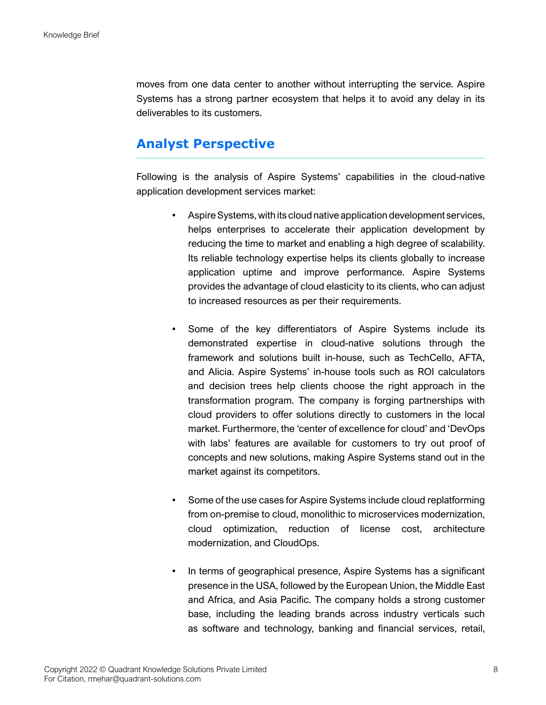moves from one data center to another without interrupting the service. Aspire Systems has a strong partner ecosystem that helps it to avoid any delay in its deliverables to its customers.

#### **Analyst Perspective**

Following is the analysis of Aspire Systems' capabilities in the cloud-native application development services market:

- Aspire Systems, with its cloud native application development services, helps enterprises to accelerate their application development by reducing the time to market and enabling a high degree of scalability. Its reliable technology expertise helps its clients globally to increase application uptime and improve performance. Aspire Systems provides the advantage of cloud elasticity to its clients, who can adjust to increased resources as per their requirements.
- Some of the key differentiators of Aspire Systems include its demonstrated expertise in cloud-native solutions through the framework and solutions built in-house, such as TechCello, AFTA, and Alicia. Aspire Systems' in-house tools such as ROI calculators and decision trees help clients choose the right approach in the transformation program. The company is forging partnerships with cloud providers to offer solutions directly to customers in the local market. Furthermore, the 'center of excellence for cloud' and 'DevOps with labs' features are available for customers to try out proof of concepts and new solutions, making Aspire Systems stand out in the market against its competitors.
- Some of the use cases for Aspire Systems include cloud replatforming from on-premise to cloud, monolithic to microservices modernization, cloud optimization, reduction of license cost, architecture modernization, and CloudOps.
- In terms of geographical presence, Aspire Systems has a significant presence in the USA, followed by the European Union, the Middle East and Africa, and Asia Pacific. The company holds a strong customer base, including the leading brands across industry verticals such as software and technology, banking and financial services, retail,